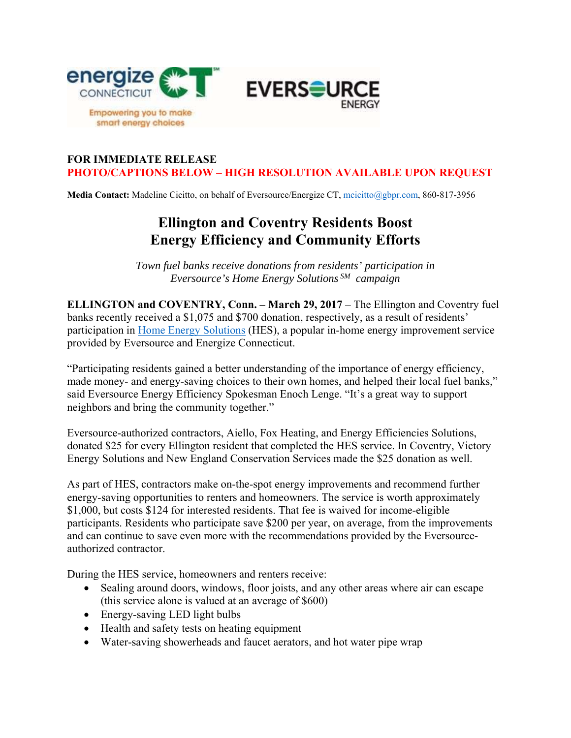

## **FOR IMMEDIATE RELEASE PHOTO/CAPTIONS BELOW – HIGH RESOLUTION AVAILABLE UPON REQUEST**

Media Contact: Madeline Cicitto, on behalf of Eversource/Energize CT, mcicitto@gbpr.com, 860-817-3956

## **Ellington and Coventry Residents Boost Energy Efficiency and Community Efforts**

*Town fuel banks receive donations from residents' participation in Eversource's Home Energy Solutions SM campaign* 

**ELLINGTON and COVENTRY, Conn. – March 29, 2017** – The Ellington and Coventry fuel banks recently received a \$1,075 and \$700 donation, respectively, as a result of residents' participation in Home Energy Solutions (HES), a popular in-home energy improvement service provided by Eversource and Energize Connecticut.

"Participating residents gained a better understanding of the importance of energy efficiency, made money- and energy-saving choices to their own homes, and helped their local fuel banks," said Eversource Energy Efficiency Spokesman Enoch Lenge. "It's a great way to support neighbors and bring the community together."

Eversource-authorized contractors, Aiello, Fox Heating, and Energy Efficiencies Solutions, donated \$25 for every Ellington resident that completed the HES service. In Coventry, Victory Energy Solutions and New England Conservation Services made the \$25 donation as well.

As part of HES, contractors make on-the-spot energy improvements and recommend further energy-saving opportunities to renters and homeowners. The service is worth approximately \$1,000, but costs \$124 for interested residents. That fee is waived for income-eligible participants. Residents who participate save \$200 per year, on average, from the improvements and can continue to save even more with the recommendations provided by the Eversourceauthorized contractor.

During the HES service, homeowners and renters receive:

- Sealing around doors, windows, floor joists, and any other areas where air can escape (this service alone is valued at an average of \$600)
- Energy-saving LED light bulbs
- Health and safety tests on heating equipment
- Water-saving showerheads and faucet aerators, and hot water pipe wrap